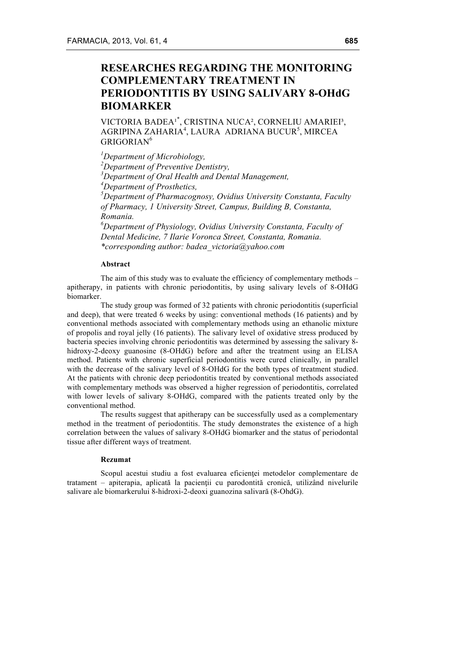# **RESEARCHES REGARDING THE MONITORING COMPLEMENTARY TREATMENT IN PERIODONTITIS BY USING SALIVARY 8-OHdG BIOMARKER**

VICTORIA BADEA<sup>1\*</sup>, CRISTINA NUCA<sup>2</sup>, CORNELIU AMARIEI<sup>3</sup>, AGRIPINA ZAHARIA $^4$ , LAURA ADRIANA BUCUR $^5$ , MIRCEA GRIGORIAN<sup>6</sup>

 *Department of Microbiology, Department of Preventive Dentistry, Department of Oral Health and Dental Management, Department of Prosthetics, Department of Pharmacognosy, Ovidius University Constanta, Faculty of Pharmacy, 1 University Street, Campus, Building B, Constanta, Romania. Department of Physiology, Ovidius University Constanta, Faculty of* 

*Dental Medicine, 7 Ilarie Voronca Street, Constanta, Romania. \*corresponding author: badea\_victoria@yahoo.com* 

## **Abstract**

The aim of this study was to evaluate the efficiency of complementary methods – apitherapy, in patients with chronic periodontitis, by using salivary levels of 8-OHdG biomarker.

The study group was formed of 32 patients with chronic periodontitis (superficial and deep), that were treated 6 weeks by using: conventional methods (16 patients) and by conventional methods associated with complementary methods using an ethanolic mixture of propolis and royal jelly (16 patients). The salivary level of oxidative stress produced by bacteria species involving chronic periodontitis was determined by assessing the salivary 8 hidroxy-2-deoxy guanosine (8-OHdG) before and after the treatment using an ELISA method. Patients with chronic superficial periodontitis were cured clinically, in parallel with the decrease of the salivary level of 8-OHdG for the both types of treatment studied. At the patients with chronic deep periodontitis treated by conventional methods associated with complementary methods was observed a higher regression of periodontitis, correlated with lower levels of salivary 8-OHdG, compared with the patients treated only by the conventional method.

The results suggest that apitherapy can be successfully used as a complementary method in the treatment of periodontitis. The study demonstrates the existence of a high correlation between the values of salivary 8-OHdG biomarker and the status of periodontal tissue after different ways of treatment.

#### **Rezumat**

Scopul acestui studiu a fost evaluarea eficienței metodelor complementare de tratament – apiterapia, aplicată la pacienţii cu parodontită cronică, utilizând nivelurile salivare ale biomarkerului 8-hidroxi-2-deoxi guanozina salivară (8-OhdG).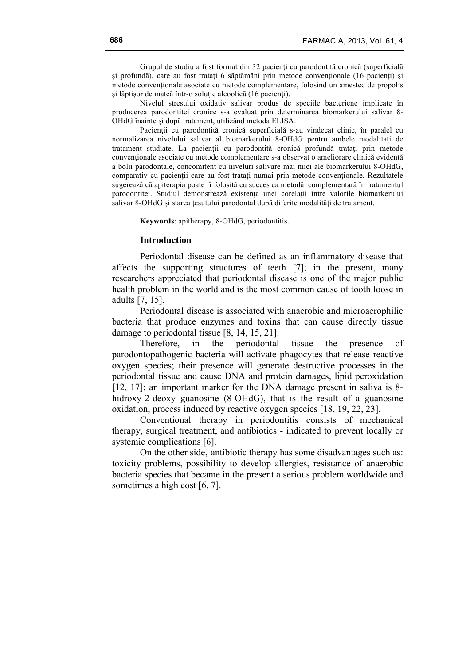Grupul de studiu a fost format din 32 pacienți cu parodontită cronică (superficială şi profundă), care au fost trataţi 6 săptămâni prin metode convenţionale (16 pacienţi) şi metode convenţionale asociate cu metode complementare, folosind un amestec de propolis şi lăptişor de matcă într-o soluţie alcoolică (16 pacienţi).

Nivelul stresului oxidativ salivar produs de speciile bacteriene implicate în producerea parodontitei cronice s-a evaluat prin determinarea biomarkerului salivar 8- OHdG înainte şi după tratament, utilizând metoda ELISA.

Pacienții cu parodontită cronică superficială s-au vindecat clinic, în paralel cu normalizarea nivelului salivar al biomarkerului 8-OHdG pentru ambele modalități de tratament studiate. La pacientii cu parodontită cronică profundă tratați prin metode conventionale asociate cu metode complementare s-a observat o ameliorare clinică evidentă a bolii parodontale, concomitent cu niveluri salivare mai mici ale biomarkerului 8-OHdG, comparativ cu pacienţii care au fost trataţi numai prin metode convenţionale. Rezultatele sugerează că apiterapia poate fi folosită cu succes ca metodă complementară în tratamentul parodontitei. Studiul demonstrează existenţa unei corelaţii între valorile biomarkerului salivar 8-OHdG și starea țesutului parodontal după diferite modalități de tratament.

**Keywords**: apitherapy, 8-OHdG, periodontitis.

# **Introduction**

Periodontal disease can be defined as an inflammatory disease that affects the supporting structures of teeth [7]; in the present, many researchers appreciated that periodontal disease is one of the major public health problem in the world and is the most common cause of tooth loose in adults [7, 15].

Periodontal disease is associated with anaerobic and microaerophilic bacteria that produce enzymes and toxins that can cause directly tissue damage to periodontal tissue [8, 14, 15, 21].

Therefore, in the periodontal tissue the presence of parodontopathogenic bacteria will activate phagocytes that release reactive oxygen species; their presence will generate destructive processes in the periodontal tissue and cause DNA and protein damages, lipid peroxidation [12, 17]; an important marker for the DNA damage present in saliva is 8hidroxy-2-deoxy guanosine (8-OHdG), that is the result of a guanosine oxidation, process induced by reactive oxygen species [18, 19, 22, 23].

Conventional therapy in periodontitis consists of mechanical therapy, surgical treatment, and antibiotics - indicated to prevent locally or systemic complications [6].

On the other side, antibiotic therapy has some disadvantages such as: toxicity problems, possibility to develop allergies, resistance of anaerobic bacteria species that became in the present a serious problem worldwide and sometimes a high cost [6, 7].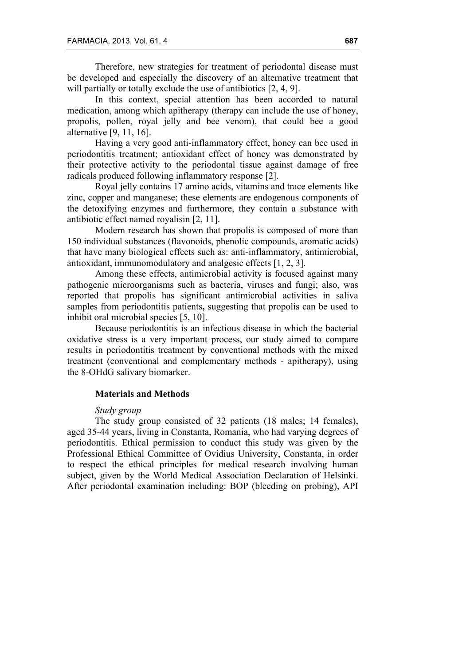Therefore, new strategies for treatment of periodontal disease must be developed and especially the discovery of an alternative treatment that will partially or totally exclude the use of antibiotics  $[2, 4, 9]$ .

In this context, special attention has been accorded to natural medication, among which apitherapy (therapy can include the use of honey, propolis, pollen, royal jelly and bee venom), that could bee a good alternative [9, 11, 16].

Having a very good anti-inflammatory effect, honey can bee used in periodontitis treatment; antioxidant effect of honey was demonstrated by their protective activity to the periodontal tissue against damage of free radicals produced following inflammatory response [2].

Royal jelly contains 17 amino acids, vitamins and trace elements like zinc, copper and manganese; these elements are endogenous components of the detoxifying enzymes and furthermore, they contain a substance with antibiotic effect named royalisin [2, 11].

Modern research has shown that propolis is composed of more than 150 individual substances (flavonoids, phenolic compounds, aromatic acids) that have many biological effects such as: anti-inflammatory, antimicrobial, antioxidant, immunomodulatory and analgesic effects [1, 2, 3].

Among these effects, antimicrobial activity is focused against many pathogenic microorganisms such as bacteria, viruses and fungi; also, was reported that propolis has significant antimicrobial activities in saliva samples from periodontitis patients**,** suggesting that propolis can be used to inhibit oral microbial species [5, 10].

Because periodontitis is an infectious disease in which the bacterial oxidative stress is a very important process, our study aimed to compare results in periodontitis treatment by conventional methods with the mixed treatment (conventional and complementary methods - apitherapy), using the 8-OHdG salivary biomarker.

### **Materials and Methods**

# *Study group*

The study group consisted of 32 patients (18 males; 14 females), aged 35-44 years, living in Constanta, Romania, who had varying degrees of periodontitis. Ethical permission to conduct this study was given by the Professional Ethical Committee of Ovidius University, Constanta, in order to respect the ethical principles for medical research involving human subject, given by the World Medical Association Declaration of Helsinki. After periodontal examination including: BOP (bleeding on probing), API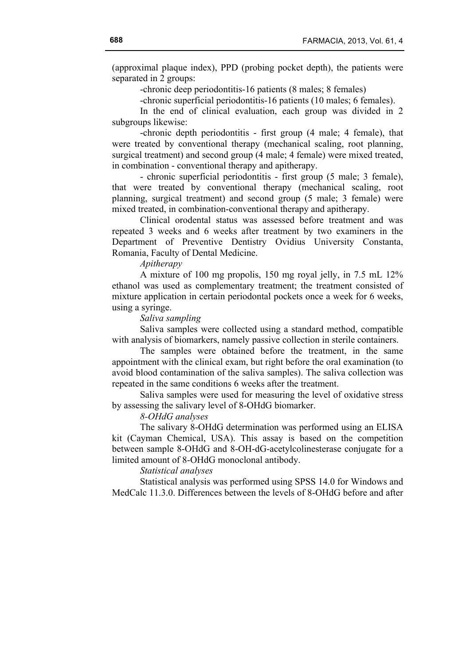(approximal plaque index), PPD (probing pocket depth), the patients were separated in 2 groups:

-chronic deep periodontitis-16 patients (8 males; 8 females)

-chronic superficial periodontitis-16 patients (10 males; 6 females).

In the end of clinical evaluation, each group was divided in 2 subgroups likewise:

-chronic depth periodontitis - first group (4 male; 4 female), that were treated by conventional therapy (mechanical scaling, root planning, surgical treatment) and second group (4 male; 4 female) were mixed treated, in combination - conventional therapy and apitherapy.

- chronic superficial periodontitis - first group (5 male; 3 female), that were treated by conventional therapy (mechanical scaling, root planning, surgical treatment) and second group (5 male; 3 female) were mixed treated, in combination-conventional therapy and apitherapy.

Clinical orodental status was assessed before treatment and was repeated 3 weeks and 6 weeks after treatment by two examiners in the Department of Preventive Dentistry Ovidius University Constanta, Romania, Faculty of Dental Medicine.

## *Apitherapy*

A mixture of 100 mg propolis, 150 mg royal jelly, in 7.5 mL 12% ethanol was used as complementary treatment; the treatment consisted of mixture application in certain periodontal pockets once a week for 6 weeks, using a syringe.

## *Saliva sampling*

Saliva samples were collected using a standard method, compatible with analysis of biomarkers, namely passive collection in sterile containers.

The samples were obtained before the treatment, in the same appointment with the clinical exam, but right before the oral examination (to avoid blood contamination of the saliva samples). The saliva collection was repeated in the same conditions 6 weeks after the treatment.

Saliva samples were used for measuring the level of oxidative stress by assessing the salivary level of 8-OHdG biomarker.

### *8-OHdG analyses*

The salivary 8-OHdG determination was performed using an ELISA kit (Cayman Chemical, USA). This assay is based on the competition between sample 8-OHdG and 8-OH-dG-acetylcolinesterase conjugate for a limited amount of 8-OHdG monoclonal antibody.

# *Statistical analyses*

Statistical analysis was performed using SPSS 14.0 for Windows and MedCalc 11.3.0. Differences between the levels of 8-OHdG before and after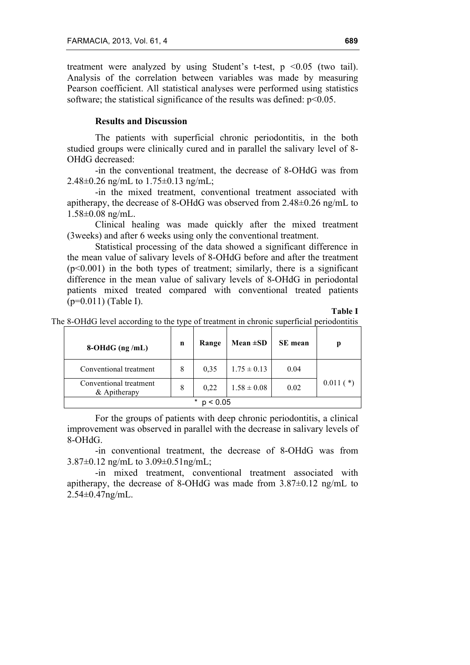treatment were analyzed by using Student's t-test,  $p \le 0.05$  (two tail). Analysis of the correlation between variables was made by measuring Pearson coefficient. All statistical analyses were performed using statistics software; the statistical significance of the results was defined:  $p<0.05$ .

# **Results and Discussion**

The patients with superficial chronic periodontitis, in the both studied groups were clinically cured and in parallel the salivary level of 8- OHdG decreased:

-in the conventional treatment, the decrease of 8-OHdG was from 2.48±0.26 ng/mL to 1.75±0.13 ng/mL;

-in the mixed treatment, conventional treatment associated with apitherapy, the decrease of 8-OHdG was observed from 2.48±0.26 ng/mL to 1.58±0.08 ng/mL.

Clinical healing was made quickly after the mixed treatment (3weeks) and after 6 weeks using only the conventional treatment.

Statistical processing of the data showed a significant difference in the mean value of salivary levels of 8-OHdG before and after the treatment  $(p<0.001)$  in the both types of treatment; similarly, there is a significant difference in the mean value of salivary levels of 8-OHdG in periodontal patients mixed treated compared with conventional treated patients (p=0.011) (Table I).

**Table I**

The 8-OHdG level according to the type of treatment in chronic superficial periodontitis

| $8-OHdG$ (ng/mL)                       | n | Range | Mean $\pm SD$   | <b>SE</b> mean |             |
|----------------------------------------|---|-------|-----------------|----------------|-------------|
| Conventional treatment                 | 8 | 0.35  | $1.75 \pm 0.13$ | 0.04           |             |
| Conventional treatment<br>& Apitherapy | 8 | 0.22  | $1.58 \pm 0.08$ | 0.02           | $0.011$ (*) |
| $\ast$<br>0.05                         |   |       |                 |                |             |

For the groups of patients with deep chronic periodontitis, a clinical improvement was observed in parallel with the decrease in salivary levels of 8-OHdG.

-in conventional treatment, the decrease of 8-OHdG was from 3.87±0.12 ng/mL to 3.09±0.51ng/mL;

-in mixed treatment, conventional treatment associated with apitherapy, the decrease of 8-OHdG was made from  $3.87\pm0.12$  ng/mL to 2.54±0.47ng/mL.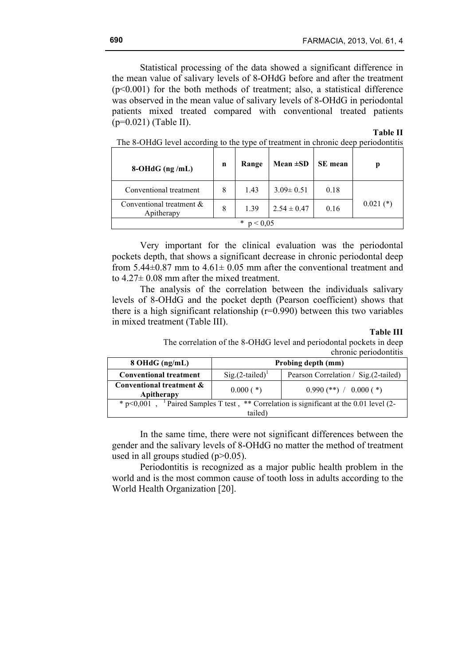Statistical processing of the data showed a significant difference in the mean value of salivary levels of 8-OHdG before and after the treatment  $(p<0.001)$  for the both methods of treatment; also, a statistical difference was observed in the mean value of salivary levels of 8-OHdG in periodontal patients mixed treated compared with conventional treated patients (p=0.021) (Table II).

#### **Table II**

| $8-OHdG$ (ng/mL)                       | n | Range | Mean $\pm SD$   | <b>SE</b> mean | p           |
|----------------------------------------|---|-------|-----------------|----------------|-------------|
| Conventional treatment                 | 8 | 1.43  | $3.09 \pm 0.51$ | 0.18           |             |
| Conventional treatment &<br>Apitherapy | 8 | 1.39  | $2.54 \pm 0.47$ | 0.16           | $0.021$ (*) |
| $\ast$<br>0.05                         |   |       |                 |                |             |

The 8-OHdG level according to the type of treatment in chronic deep periodontitis

Very important for the clinical evaluation was the periodontal pockets depth, that shows a significant decrease in chronic periodontal deep from  $5.44\pm0.87$  mm to  $4.61\pm0.05$  mm after the conventional treatment and to 4.27± 0.08 mm after the mixed treatment.

The analysis of the correlation between the individuals salivary levels of 8-OHdG and the pocket depth (Pearson coefficient) shows that there is a high significant relationship  $(r=0.990)$  between this two variables in mixed treatment (Table III).

#### **Table III**

The correlation of the 8-OHdG level and periodontal pockets in deep chronic periodontitis

| 8 OHdG (ng/mL)                                                                                                       | Probing depth (mm) |                                       |  |  |  |  |
|----------------------------------------------------------------------------------------------------------------------|--------------------|---------------------------------------|--|--|--|--|
| <b>Conventional treatment</b>                                                                                        | $Sig.(2-tailed)^T$ | Pearson Correlation / Sig. (2-tailed) |  |  |  |  |
| Conventional treatment &<br>Apitherapy                                                                               | $0.000$ (*)        | $0.990$ (**) / $0.000$ (*)            |  |  |  |  |
| <sup>1</sup> Paired Samples T test, ** Correlation is significant at the 0.01 level (2-<br>$*$ p < 0,001,<br>tailed) |                    |                                       |  |  |  |  |
|                                                                                                                      |                    |                                       |  |  |  |  |

In the same time, there were not significant differences between the gender and the salivary levels of 8-OHdG no matter the method of treatment used in all groups studied  $(p>0.05)$ .

Periodontitis is recognized as a major public health problem in the world and is the most common cause of tooth loss in adults according to the World Health Organization [20].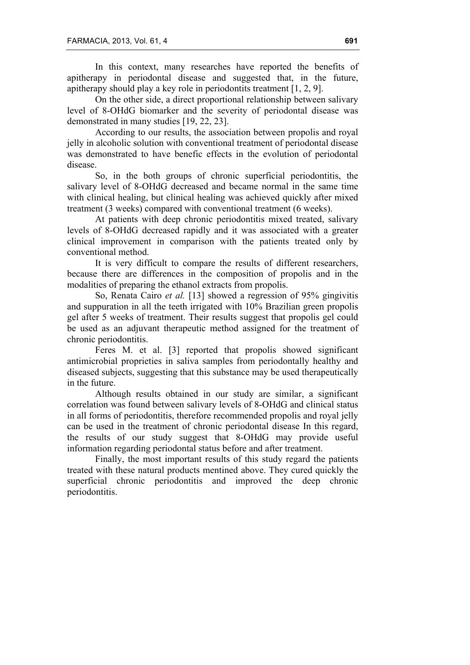In this context, many researches have reported the benefits of apitherapy in periodontal disease and suggested that, in the future, apitherapy should play a key role in periodontits treatment [1, 2, 9].

On the other side, a direct proportional relationship between salivary level of 8-OHdG biomarker and the severity of periodontal disease was demonstrated in many studies [19, 22, 23].

According to our results, the association between propolis and royal jelly in alcoholic solution with conventional treatment of periodontal disease was demonstrated to have benefic effects in the evolution of periodontal disease.

So, in the both groups of chronic superficial periodontitis, the salivary level of 8-OHdG decreased and became normal in the same time with clinical healing, but clinical healing was achieved quickly after mixed treatment (3 weeks) compared with conventional treatment (6 weeks).

At patients with deep chronic periodontitis mixed treated, salivary levels of 8-OHdG decreased rapidly and it was associated with a greater clinical improvement in comparison with the patients treated only by conventional method.

It is very difficult to compare the results of different researchers, because there are differences in the composition of propolis and in the modalities of preparing the ethanol extracts from propolis.

So, Renata Cairo *et al.* [13] showed a regression of 95% gingivitis and suppuration in all the teeth irrigated with 10% Brazilian green propolis gel after 5 weeks of treatment. Their results suggest that propolis gel could be used as an adjuvant therapeutic method assigned for the treatment of chronic periodontitis.

Feres M. et al. [3] reported that propolis showed significant antimicrobial proprieties in saliva samples from periodontally healthy and diseased subjects, suggesting that this substance may be used therapeutically in the future.

Although results obtained in our study are similar, a significant correlation was found between salivary levels of 8-OHdG and clinical status in all forms of periodontitis, therefore recommended propolis and royal jelly can be used in the treatment of chronic periodontal disease In this regard, the results of our study suggest that 8-OHdG may provide useful information regarding periodontal status before and after treatment.

Finally, the most important results of this study regard the patients treated with these natural products mentined above. They cured quickly the superficial chronic periodontitis and improved the deep chronic periodontitis.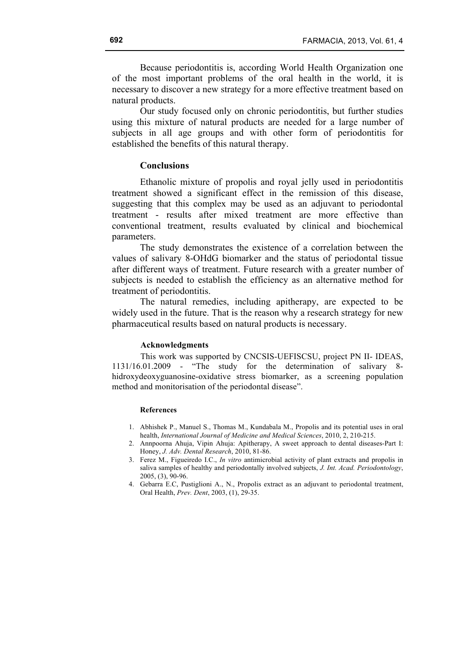Because periodontitis is, according World Health Organization one of the most important problems of the oral health in the world, it is necessary to discover a new strategy for a more effective treatment based on natural products.

Our study focused only on chronic periodontitis, but further studies using this mixture of natural products are needed for a large number of subjects in all age groups and with other form of periodontitis for established the benefits of this natural therapy.

## **Conclusions**

Ethanolic mixture of propolis and royal jelly used in periodontitis treatment showed a significant effect in the remission of this disease, suggesting that this complex may be used as an adjuvant to periodontal treatment - results after mixed treatment are more effective than conventional treatment, results evaluated by clinical and biochemical parameters.

The study demonstrates the existence of a correlation between the values of salivary 8-OHdG biomarker and the status of periodontal tissue after different ways of treatment. Future research with a greater number of subjects is needed to establish the efficiency as an alternative method for treatment of periodontitis.

The natural remedies, including apitherapy, are expected to be widely used in the future. That is the reason why a research strategy for new pharmaceutical results based on natural products is necessary.

#### **Acknowledgments**

This work was supported by CNCSIS-UEFISCSU, project PN II- IDEAS, 1131/16.01.2009 - "The study for the determination of salivary 8 hidroxydeoxyguanosine-oxidative stress biomarker, as a screening population method and monitorisation of the periodontal disease".

#### **References**

- 1. Abhishek P., Manuel S., Thomas M., Kundabala M., Propolis and its potential uses in oral health, *International Journal of Medicine and Medical Sciences*, 2010, 2, 210-215.
- 2. Annpoorna Ahuja, Vipin Ahuja: Apitherapy, A sweet approach to dental diseases-Part I: Honey, *J. Adv. Dental Research*, 2010, 81-86.
- 3. Ferez M., Figueiredo I.C., *In vitro* antimicrobial activity of plant extracts and propolis in saliva samples of healthy and periodontally involved subjects, *J. Int. Acad. Periodontology*, 2005, (3), 90-96.
- 4. Gebarra E.C, Pustiglioni A., N., Propolis extract as an adjuvant to periodontal treatment, Oral Health, *Prev. Dent*, 2003, (1), 29-35.